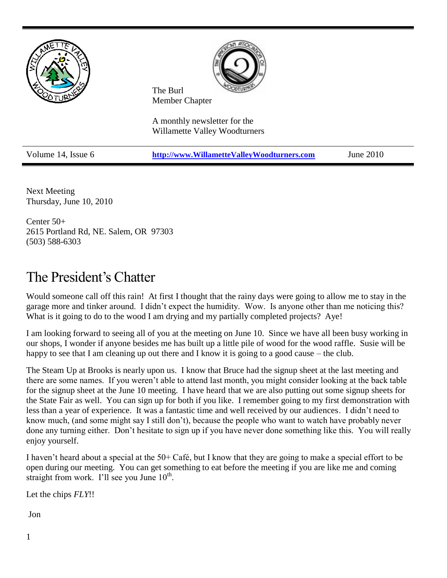

Next Meeting Thursday, June 10, 2010

Center 50+ 2615 Portland Rd, NE. Salem, OR 97303 (503) 588-6303

# The President's Chatter

Would someone call off this rain! At first I thought that the rainy days were going to allow me to stay in the garage more and tinker around. I didn't expect the humidity. Wow. Is anyone other than me noticing this? What is it going to do to the wood I am drying and my partially completed projects? Aye!

I am looking forward to seeing all of you at the meeting on June 10. Since we have all been busy working in our shops, I wonder if anyone besides me has built up a little pile of wood for the wood raffle. Susie will be happy to see that I am cleaning up out there and I know it is going to a good cause – the club.

The Steam Up at Brooks is nearly upon us. I know that Bruce had the signup sheet at the last meeting and there are some names. If you weren't able to attend last month, you might consider looking at the back table for the signup sheet at the June 10 meeting. I have heard that we are also putting out some signup sheets for the State Fair as well. You can sign up for both if you like. I remember going to my first demonstration with less than a year of experience. It was a fantastic time and well received by our audiences. I didn't need to know much, (and some might say I still don't), because the people who want to watch have probably never done any turning either. Don't hesitate to sign up if you have never done something like this. You will really enjoy yourself.

I haven't heard about a special at the 50+ Café, but I know that they are going to make a special effort to be open during our meeting. You can get something to eat before the meeting if you are like me and coming straight from work. I'll see you June  $10<sup>th</sup>$ .

Let the chips *FLY*!!

Jon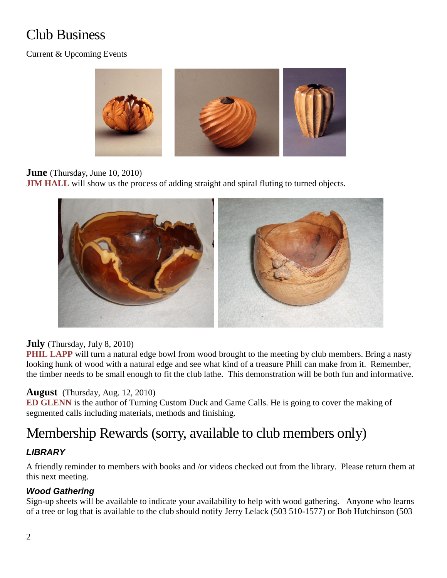# Club Business

## Current & Upcoming Events



## **June** (Thursday, June 10, 2010)

**JIM HALL** will show us the process of adding straight and spiral fluting to turned objects.



### **July** (Thursday, July 8, 2010)

**PHIL LAPP** will turn a natural edge bowl from wood brought to the meeting by club members. Bring a nasty looking hunk of wood with a natural edge and see what kind of a treasure Phill can make from it. Remember, the timber needs to be small enough to fit the club lathe. This demonstration will be both fun and informative.

### **August** (Thursday, Aug. 12, 2010)

**ED GLENN** is the author of Turning Custom Duck and Game Calls. He is going to cover the making of segmented calls including materials, methods and finishing.

## Membership Rewards (sorry, available to club members only)

## *LIBRARY*

A friendly reminder to members with books and /or videos checked out from the library. Please return them at this next meeting.

## *Wood Gathering*

Sign-up sheets will be available to indicate your availability to help with wood gathering. Anyone who learns of a tree or log that is available to the club should notify Jerry Lelack (503 510-1577) or Bob Hutchinson (503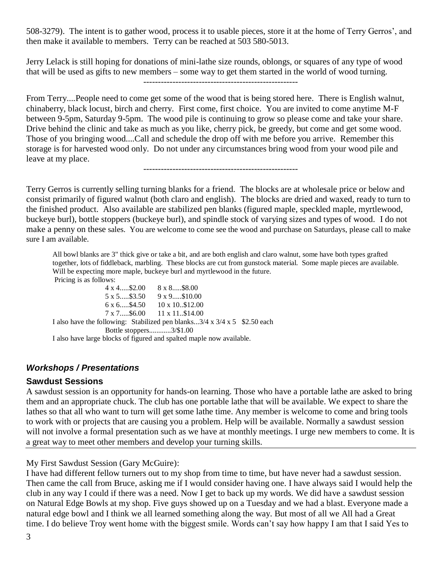508-3279). The intent is to gather wood, process it to usable pieces, store it at the home of Terry Gerros', and then make it available to members. Terry can be reached at 503 580-5013.

Jerry Lelack is still hoping for donations of mini-lathe size rounds, oblongs, or squares of any type of wood that will be used as gifts to new members – some way to get them started in the world of wood turning. -----------------------------------------------------

From Terry....People need to come get some of the wood that is being stored here. There is English walnut, chinaberry, black locust, birch and cherry. First come, first choice. You are invited to come anytime M-F between 9-5pm, Saturday 9-5pm. The wood pile is continuing to grow so please come and take your share. Drive behind the clinic and take as much as you like, cherry pick, be greedy, but come and get some wood. Those of you bringing wood....Call and schedule the drop off with me before you arrive. Remember this storage is for harvested wood only. Do not under any circumstances bring wood from your wood pile and leave at my place.

-----------------------------------------------------

Terry Gerros is currently selling turning blanks for a friend. The blocks are at wholesale price or below and consist primarily of figured walnut (both claro and english). The blocks are dried and waxed, ready to turn to the finished product. Also available are stabilized pen blanks (figured maple, speckled maple, myrtlewood, buckeye burl), bottle stoppers (buckeye burl), and spindle stock of varying sizes and types of wood. I do not make a penny on these sales. You are welcome to come see the wood and purchase on Saturdays, please call to make sure I am available.

All bowl blanks are 3" thick give or take a bit, and are both english and claro walnut, some have both types grafted together, lots of fiddleback, marbling. These blocks are cut from gunstock material. Some maple pieces are available. Will be expecting more maple, buckeye burl and myrtlewood in the future. Pricing is as follows:

4 x 4.....\$2.00 8 x 8.....\$8.00 5 x 5.....\$3.50 9 x 9.....\$10.00 6 x 6.....\$4.50 10 x 10..\$12.00 7 x 7.....\$6.00 11 x 11..\$14.00 I also have the following: Stabilized pen blanks...3/4 x 3/4 x 5 \$2.50 each Bottle stoppers............3/\$1.00 I also have large blocks of figured and spalted maple now available.

### *Workshops / Presentations*

#### **Sawdust Sessions**

A sawdust session is an opportunity for hands-on learning. Those who have a portable lathe are asked to bring them and an appropriate chuck. The club has one portable lathe that will be available. We expect to share the lathes so that all who want to turn will get some lathe time. Any member is welcome to come and bring tools to work with or projects that are causing you a problem. Help will be available. Normally a sawdust session will not involve a formal presentation such as we have at monthly meetings. I urge new members to come. It is a great way to meet other members and develop your turning skills.

My First Sawdust Session (Gary McGuire):

I have had different fellow turners out to my shop from time to time, but have never had a sawdust session. Then came the call from Bruce, asking me if I would consider having one. I have always said I would help the club in any way I could if there was a need. Now I get to back up my words. We did have a sawdust session on Natural Edge Bowls at my shop. Five guys showed up on a Tuesday and we had a blast. Everyone made a natural edge bowl and I think we all learned something along the way. But most of all we All had a Great time. I do believe Troy went home with the biggest smile. Words can't say how happy I am that I said Yes to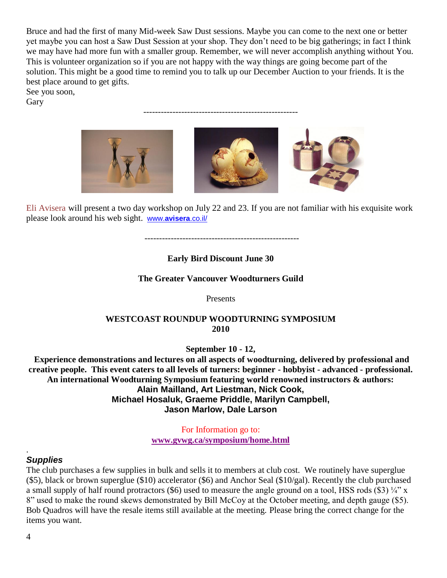Bruce and had the first of many Mid-week Saw Dust sessions. Maybe you can come to the next one or better yet maybe you can host a Saw Dust Session at your shop. They don't need to be big gatherings; in fact I think we may have had more fun with a smaller group. Remember, we will never accomplish anything without You. This is volunteer organization so if you are not happy with the way things are going become part of the solution. This might be a good time to remind you to talk up our December Auction to your friends. It is the best place around to get gifts.

-----------------------------------------------------

See you soon,

Gary



Eli Avisera will present a two day workshop on July 22 and 23. If you are not familiar with his exquisite work please look around his web sight. www.**[avisera](http://www.avisera.co.il/)**.co.il/

-----------------------------------------------------

#### **Early Bird Discount June 30**

#### **The Greater Vancouver Woodturners Guild**

Presents

#### **WESTCOAST ROUNDUP WOODTURNING SYMPOSIUM 2010**

**September 10 - 12,**

**Experience demonstrations and lectures on all aspects of woodturning, delivered by professional and creative people. This event caters to all levels of turners: beginner - hobbyist - advanced - professional. An international Woodturning Symposium featuring world renowned instructors & authors: Alain Mailland, Art Liestman, Nick Cook, Michael Hosaluk, Graeme Priddle, Marilyn Campbell, Jason Marlow, Dale Larson**

> For Information go to: **[www.gvwg.ca/symposium/home.html](http://www.gvwg.ca/symposium/home.html)**

#### *Supplies*

The club purchases a few supplies in bulk and sells it to members at club cost. We routinely have superglue (\$5), black or brown superglue (\$10) accelerator (\$6) and Anchor Seal (\$10/gal). Recently the club purchased a small supply of half round protractors (\$6) used to measure the angle ground on a tool, HSS rods (\$3)  $\frac{1}{4}$ " x 8" used to make the round skews demonstrated by Bill McCoy at the October meeting, and depth gauge (\$5). Bob Quadros will have the resale items still available at the meeting. Please bring the correct change for the items you want.

.